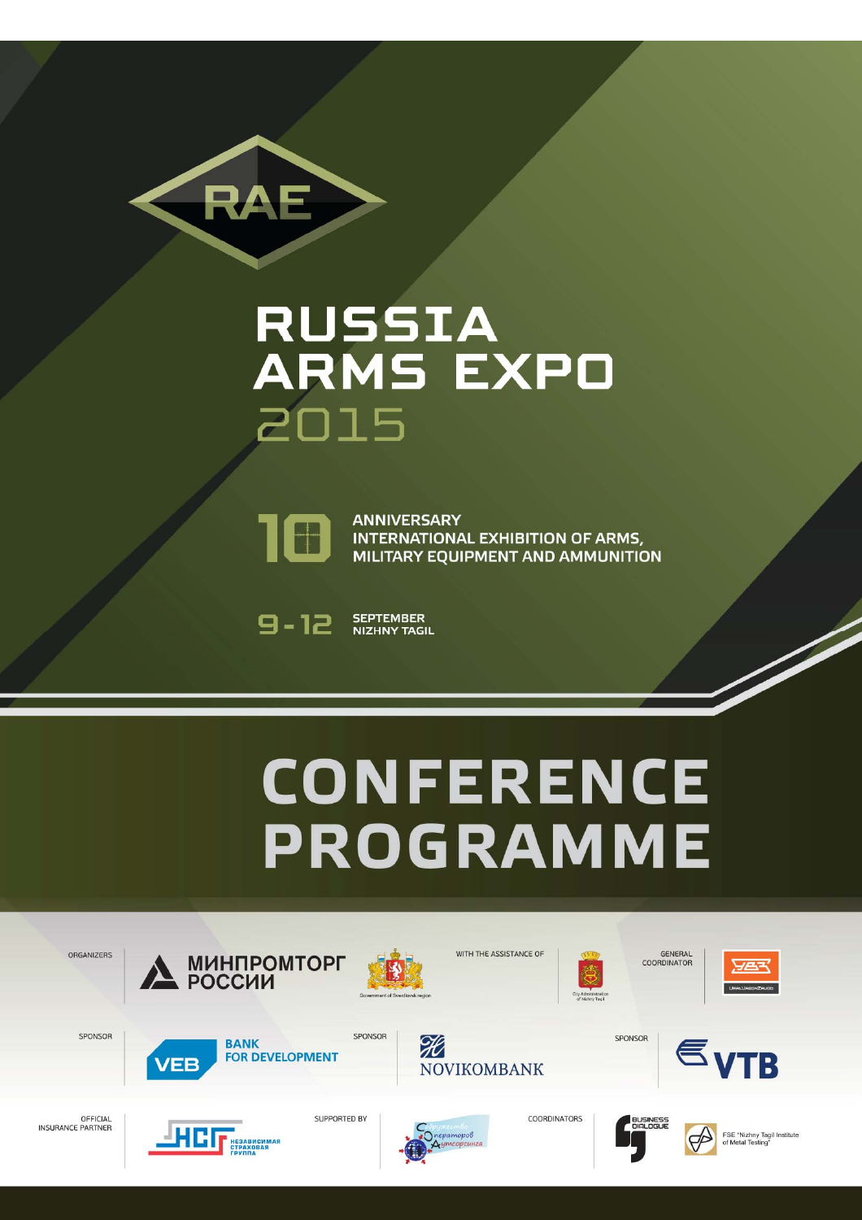## **RUSSIA<br>ARMS EXPO** 2015



RAE

**ANNIVERSARY INTERNATIONAL EXHIBITION OF ARMS,** MILITARY EQUIPMENT AND AMMUNITION

**SEPTEMBER**  $9 - 12$ **NIZHNY TAGIL** 

#### **CONFERENCE PROGRAMME**

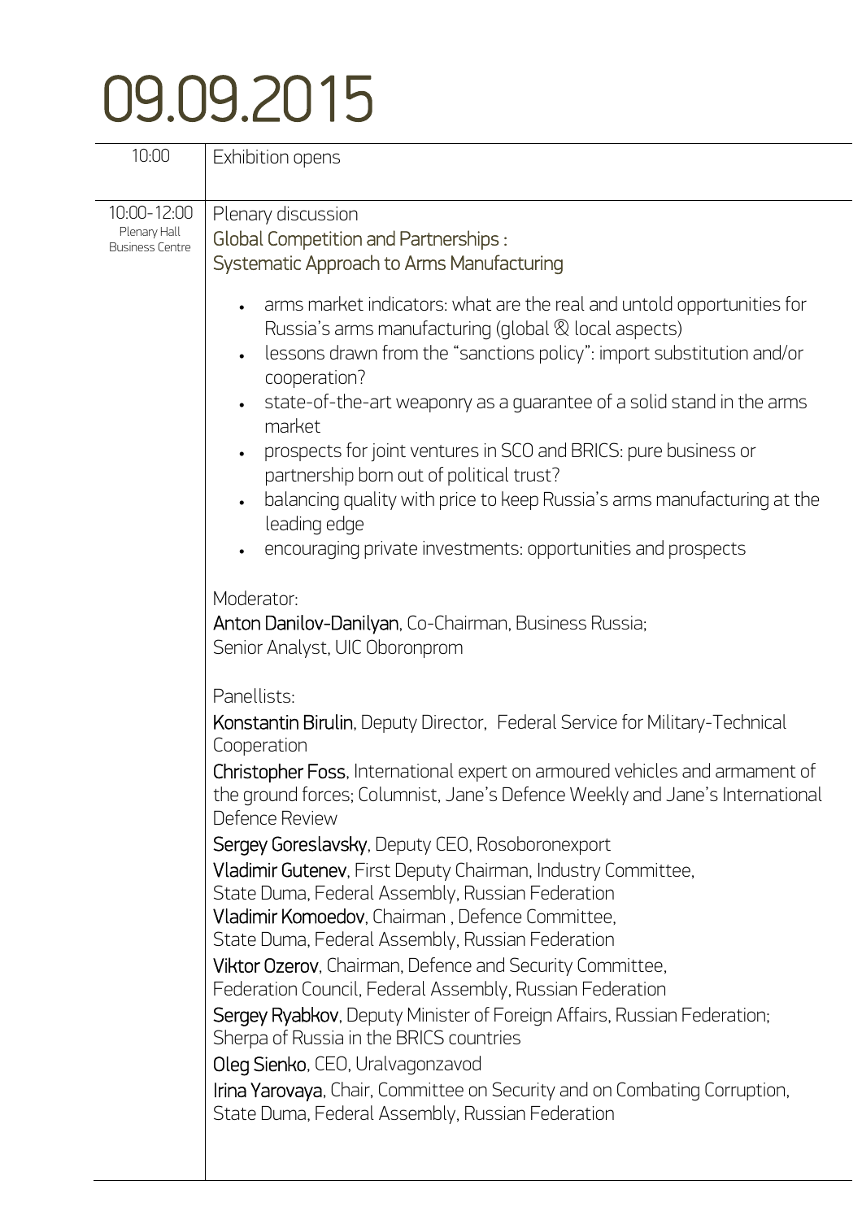### 09.09.2015

| 10:00                                                 | Exhibition opens                                                                                                                                                                                                                                                                                                                                                                                                                                                                                                                                                                                                                                                                                                                                                                                                                                                                                                                                                                                                                                                                                                                                                                                                                                                                                                                                                                                                                                                                                                                                                                                                                                                                                                                                                                                                 |
|-------------------------------------------------------|------------------------------------------------------------------------------------------------------------------------------------------------------------------------------------------------------------------------------------------------------------------------------------------------------------------------------------------------------------------------------------------------------------------------------------------------------------------------------------------------------------------------------------------------------------------------------------------------------------------------------------------------------------------------------------------------------------------------------------------------------------------------------------------------------------------------------------------------------------------------------------------------------------------------------------------------------------------------------------------------------------------------------------------------------------------------------------------------------------------------------------------------------------------------------------------------------------------------------------------------------------------------------------------------------------------------------------------------------------------------------------------------------------------------------------------------------------------------------------------------------------------------------------------------------------------------------------------------------------------------------------------------------------------------------------------------------------------------------------------------------------------------------------------------------------------|
| 10:00-12:00<br>Plenary Hall<br><b>Business Centre</b> | Plenary discussion<br><b>Global Competition and Partnerships:</b><br>Systematic Approach to Arms Manufacturing<br>• arms market indicators: what are the real and untold opportunities for<br>Russia's arms manufacturing (global & local aspects)<br>lessons drawn from the "sanctions policy": import substitution and/or<br>cooperation?<br>state-of-the-art weaponry as a guarantee of a solid stand in the arms<br>market<br>prospects for joint ventures in SCO and BRICS: pure business or<br>partnership born out of political trust?<br>balancing quality with price to keep Russia's arms manufacturing at the<br>leading edge<br>encouraging private investments: opportunities and prospects<br>Moderator:<br>Anton Danilov-Danilyan, Co-Chairman, Business Russia;<br>Senior Analyst, UIC Oboronprom<br>Panellists:<br>Konstantin Birulin, Deputy Director, Federal Service for Military-Technical<br>Cooperation<br>Christopher Foss, International expert on armoured vehicles and armament of<br>the ground forces; Columnist, Jane's Defence Weekly and Jane's International<br>Defence Review<br>Sergey Goreslavsky, Deputy CEO, Rosoboronexport<br>Vladimir Gutenev, First Deputy Chairman, Industry Committee,<br>State Duma, Federal Assembly, Russian Federation<br>Vladimir Komoedov, Chairman, Defence Committee,<br>State Duma, Federal Assembly, Russian Federation<br>Viktor Ozerov, Chairman, Defence and Security Committee,<br>Federation Council, Federal Assembly, Russian Federation<br>Sergey Ryabkov, Deputy Minister of Foreign Affairs, Russian Federation;<br>Sherpa of Russia in the BRICS countries<br>Oleg Sienko, CEO, Uralvagonzavod<br>Irina Yarovaya, Chair, Committee on Security and on Combating Corruption,<br>State Duma, Federal Assembly, Russian Federation |
|                                                       |                                                                                                                                                                                                                                                                                                                                                                                                                                                                                                                                                                                                                                                                                                                                                                                                                                                                                                                                                                                                                                                                                                                                                                                                                                                                                                                                                                                                                                                                                                                                                                                                                                                                                                                                                                                                                  |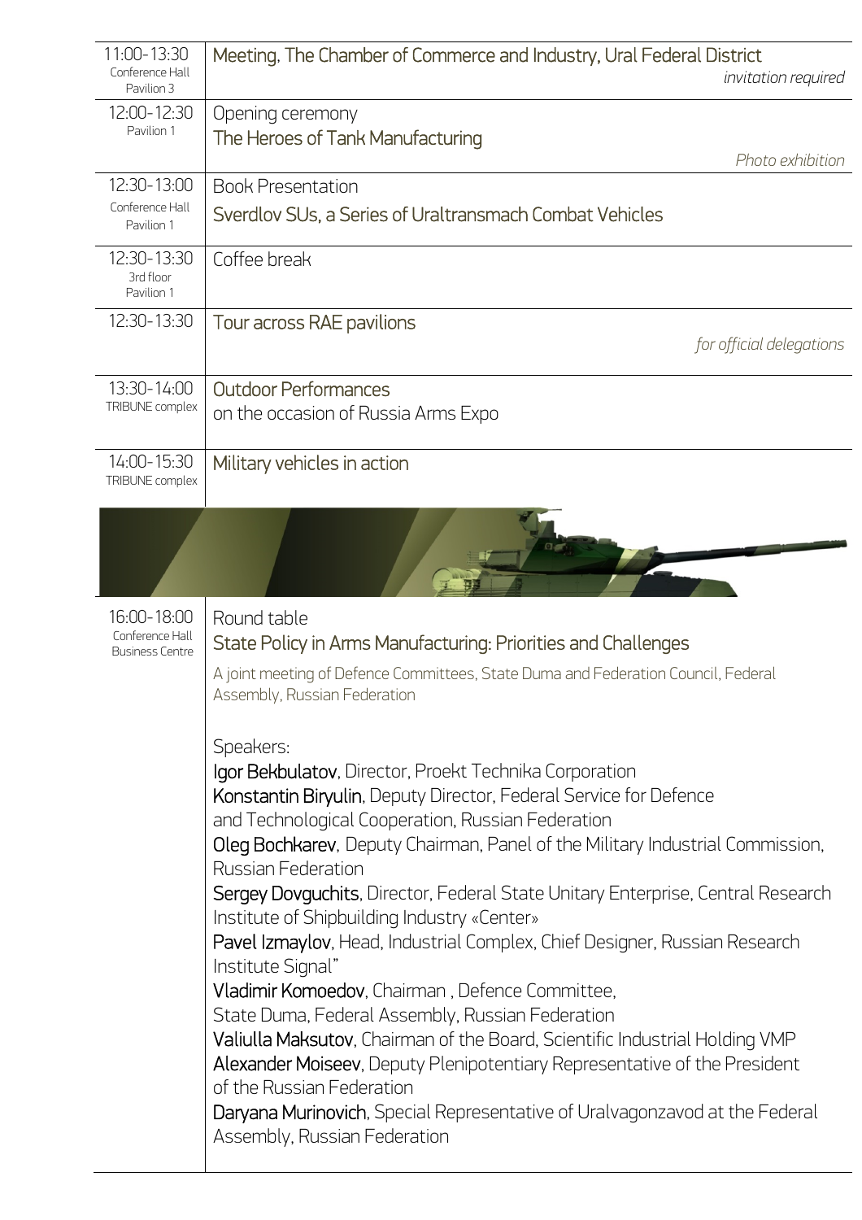| 11:00-13:30<br>Conference Hall<br>Pavilion 3             | Meeting, The Chamber of Commerce and Industry, Ural Federal District<br>invitation required                                                                                                                                                                                                                                                                                                                                                                                                                                                                                                                                                                                                                                                                                                                                                                                                                                                                     |
|----------------------------------------------------------|-----------------------------------------------------------------------------------------------------------------------------------------------------------------------------------------------------------------------------------------------------------------------------------------------------------------------------------------------------------------------------------------------------------------------------------------------------------------------------------------------------------------------------------------------------------------------------------------------------------------------------------------------------------------------------------------------------------------------------------------------------------------------------------------------------------------------------------------------------------------------------------------------------------------------------------------------------------------|
| 12:00-12:30<br>Pavilion 1                                | Opening ceremony<br>The Heroes of Tank Manufacturing<br>Photo exhibition                                                                                                                                                                                                                                                                                                                                                                                                                                                                                                                                                                                                                                                                                                                                                                                                                                                                                        |
| 12:30-13:00<br>Conference Hall                           | <b>Book Presentation</b>                                                                                                                                                                                                                                                                                                                                                                                                                                                                                                                                                                                                                                                                                                                                                                                                                                                                                                                                        |
| Pavilion 1                                               | Sverdlov SUs, a Series of Uraltransmach Combat Vehicles                                                                                                                                                                                                                                                                                                                                                                                                                                                                                                                                                                                                                                                                                                                                                                                                                                                                                                         |
| 12:30-13:30<br>3rd floor<br>Pavilion 1                   | Coffee break                                                                                                                                                                                                                                                                                                                                                                                                                                                                                                                                                                                                                                                                                                                                                                                                                                                                                                                                                    |
| 12:30-13:30                                              | Tour across RAE pavilions<br>for official delegations                                                                                                                                                                                                                                                                                                                                                                                                                                                                                                                                                                                                                                                                                                                                                                                                                                                                                                           |
| 13:30-14:00<br>TRIBUNE complex                           | <b>Outdoor Performances</b><br>on the occasion of Russia Arms Expo                                                                                                                                                                                                                                                                                                                                                                                                                                                                                                                                                                                                                                                                                                                                                                                                                                                                                              |
|                                                          |                                                                                                                                                                                                                                                                                                                                                                                                                                                                                                                                                                                                                                                                                                                                                                                                                                                                                                                                                                 |
| 14:00-15:30<br>TRIBUNE complex                           | Military vehicles in action                                                                                                                                                                                                                                                                                                                                                                                                                                                                                                                                                                                                                                                                                                                                                                                                                                                                                                                                     |
|                                                          |                                                                                                                                                                                                                                                                                                                                                                                                                                                                                                                                                                                                                                                                                                                                                                                                                                                                                                                                                                 |
| 16:00-18:00<br>Conference Hall<br><b>Business Centre</b> | Round table<br>State Policy in Arms Manufacturing: Priorities and Challenges                                                                                                                                                                                                                                                                                                                                                                                                                                                                                                                                                                                                                                                                                                                                                                                                                                                                                    |
|                                                          | A joint meeting of Defence Committees, State Duma and Federation Council, Federal<br>Assembly, Russian Federation                                                                                                                                                                                                                                                                                                                                                                                                                                                                                                                                                                                                                                                                                                                                                                                                                                               |
|                                                          | Speakers:<br>Igor Bekbulatov, Director, Proekt Technika Corporation<br>Konstantin Biryulin, Deputy Director, Federal Service for Defence<br>and Technological Cooperation, Russian Federation<br>Oleg Bochkarev, Deputy Chairman, Panel of the Military Industrial Commission,<br><b>Russian Federation</b><br>Sergey Dovguchits, Director, Federal State Unitary Enterprise, Central Research<br>Institute of Shipbuilding Industry «Center»<br>Pavel Izmaylov, Head, Industrial Complex, Chief Designer, Russian Research<br>Institute Signal"<br>Vladimir Komoedov, Chairman, Defence Committee,<br>State Duma, Federal Assembly, Russian Federation<br>Valiulla Maksutov, Chairman of the Board, Scientific Industrial Holding VMP<br>Alexander Moiseev, Deputy Plenipotentiary Representative of the President<br>of the Russian Federation<br>Daryana Murinovich, Special Representative of Uralvagonzavod at the Federal<br>Assembly, Russian Federation |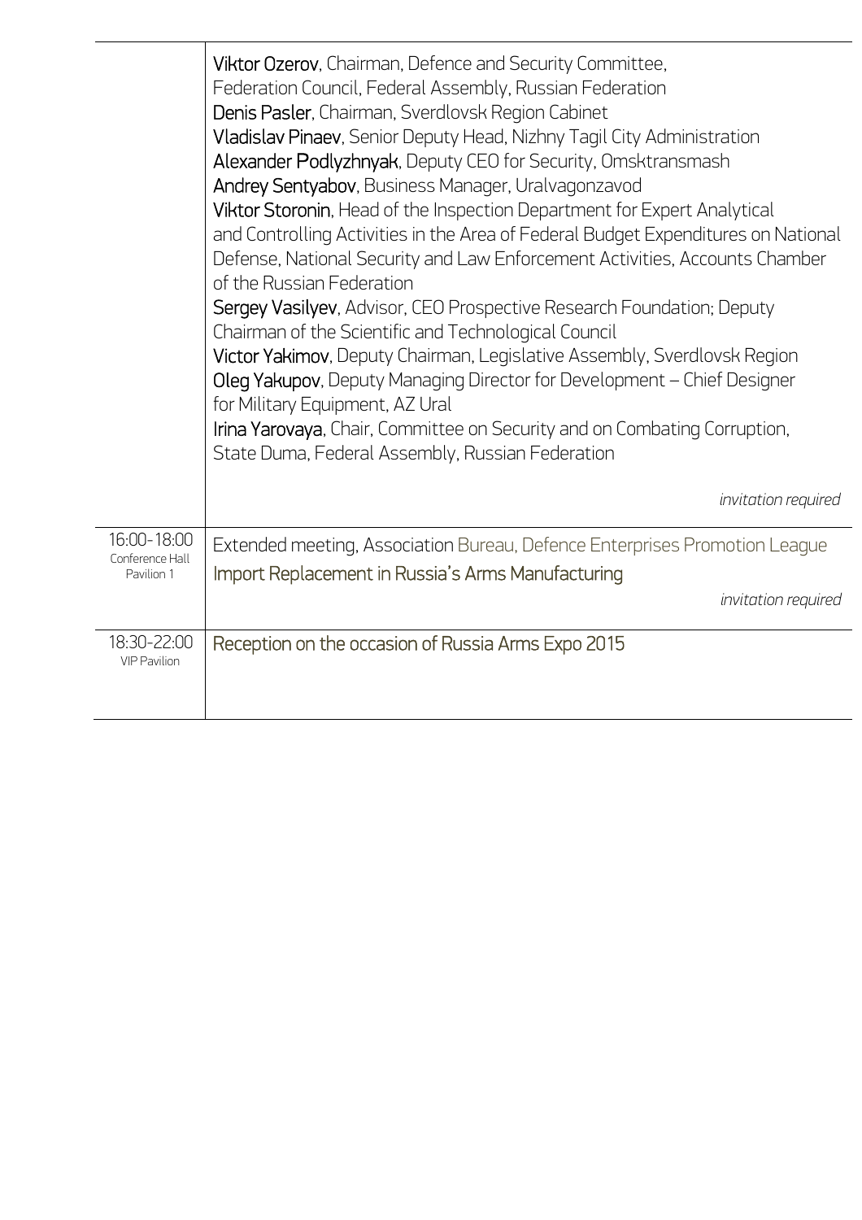|                                              | Viktor Ozerov, Chairman, Defence and Security Committee,<br>Federation Council, Federal Assembly, Russian Federation<br>Denis Pasler, Chairman, Sverdlovsk Region Cabinet<br>Vladislav Pinaev, Senior Deputy Head, Nizhny Tagil City Administration<br>Alexander Podlyzhnyak, Deputy CEO for Security, Omsktransmash<br>Andrey Sentyabov, Business Manager, Uralvagonzavod<br>Viktor Storonin, Head of the Inspection Department for Expert Analytical<br>and Controlling Activities in the Area of Federal Budget Expenditures on National<br>Defense, National Security and Law Enforcement Activities, Accounts Chamber<br>of the Russian Federation<br>Sergey Vasilyev, Advisor, CEO Prospective Research Foundation; Deputy<br>Chairman of the Scientific and Technological Council<br>Victor Yakimov, Deputy Chairman, Legislative Assembly, Sverdlovsk Region<br>Oleg Yakupov, Deputy Managing Director for Development - Chief Designer<br>for Military Equipment, AZ Ural<br>Irina Yarovaya, Chair, Committee on Security and on Combating Corruption, |
|----------------------------------------------|-----------------------------------------------------------------------------------------------------------------------------------------------------------------------------------------------------------------------------------------------------------------------------------------------------------------------------------------------------------------------------------------------------------------------------------------------------------------------------------------------------------------------------------------------------------------------------------------------------------------------------------------------------------------------------------------------------------------------------------------------------------------------------------------------------------------------------------------------------------------------------------------------------------------------------------------------------------------------------------------------------------------------------------------------------------------|
|                                              | State Duma, Federal Assembly, Russian Federation<br>invitation required                                                                                                                                                                                                                                                                                                                                                                                                                                                                                                                                                                                                                                                                                                                                                                                                                                                                                                                                                                                         |
| 16:00-18:00<br>Conference Hall<br>Pavilion 1 | Extended meeting, Association Bureau, Defence Enterprises Promotion League<br>Import Replacement in Russia's Arms Manufacturing<br>invitation required                                                                                                                                                                                                                                                                                                                                                                                                                                                                                                                                                                                                                                                                                                                                                                                                                                                                                                          |
| 18:30-22:00<br><b>VIP Pavilion</b>           | Reception on the occasion of Russia Arms Expo 2015                                                                                                                                                                                                                                                                                                                                                                                                                                                                                                                                                                                                                                                                                                                                                                                                                                                                                                                                                                                                              |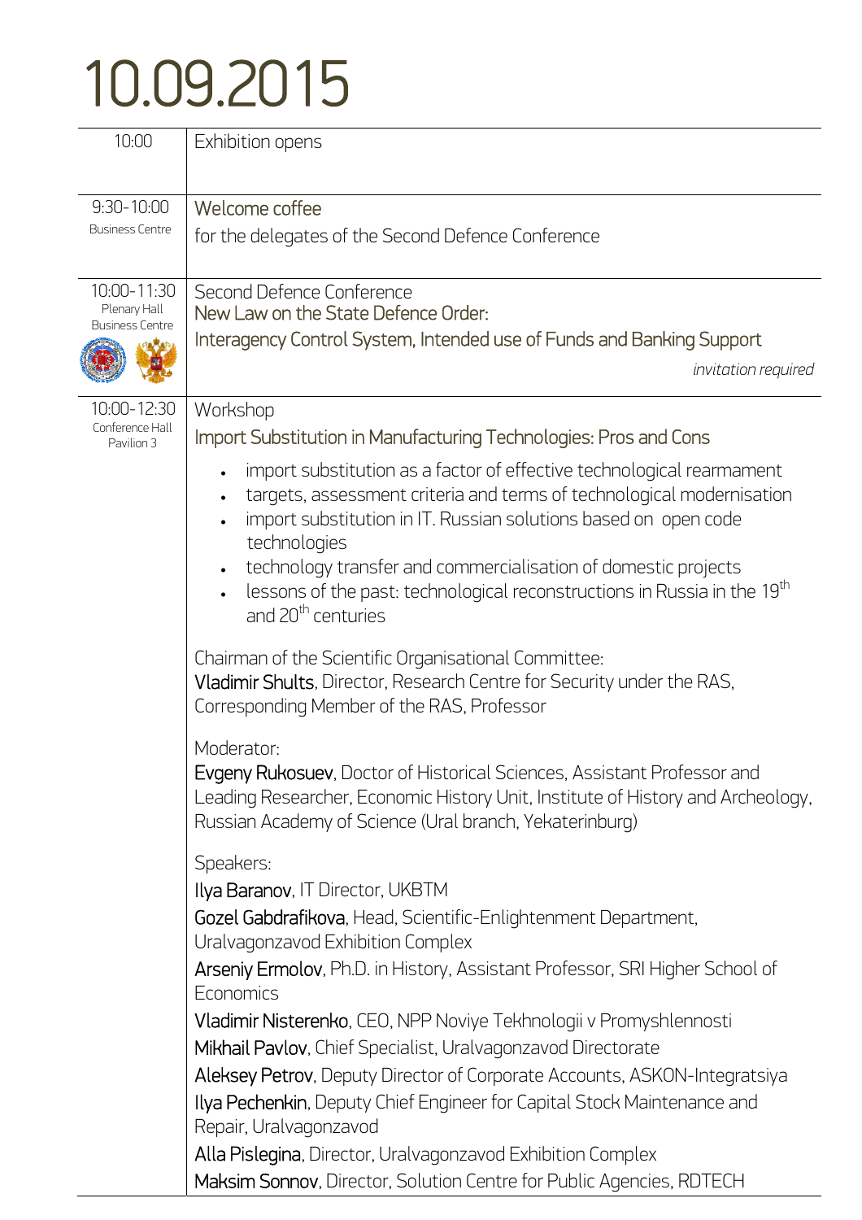## 10.09.2015

| 10:00                                  | Exhibition opens                                                                                                                                                                                                                           |
|----------------------------------------|--------------------------------------------------------------------------------------------------------------------------------------------------------------------------------------------------------------------------------------------|
| $9:30 - 10:00$                         | Welcome coffee                                                                                                                                                                                                                             |
| <b>Business Centre</b>                 | for the delegates of the Second Defence Conference                                                                                                                                                                                         |
| 10:00-11:30                            | Second Defence Conference                                                                                                                                                                                                                  |
| Plenary Hall<br><b>Business Centre</b> | New Law on the State Defence Order:                                                                                                                                                                                                        |
|                                        | Interagency Control System, Intended use of Funds and Banking Support                                                                                                                                                                      |
|                                        | invitation required                                                                                                                                                                                                                        |
| 10:00-12:30                            | Workshop                                                                                                                                                                                                                                   |
| Conference Hall<br>Pavilion 3          | Import Substitution in Manufacturing Technologies: Pros and Cons                                                                                                                                                                           |
|                                        | import substitution as a factor of effective technological rearmament<br>targets, assessment criteria and terms of technological modernisation<br>import substitution in IT. Russian solutions based on open code<br>technologies          |
|                                        | technology transfer and commercialisation of domestic projects<br>lessons of the past: technological reconstructions in Russia in the 19 <sup>th</sup><br>and 20 <sup>th</sup> centuries                                                   |
|                                        | Chairman of the Scientific Organisational Committee:<br>Vladimir Shults, Director, Research Centre for Security under the RAS,<br>Corresponding Member of the RAS, Professor                                                               |
|                                        | Moderator:<br><b>Evgeny Rukosuev, Doctor of Historical Sciences, Assistant Professor and</b><br>Leading Researcher, Economic History Unit, Institute of History and Archeology,<br>Russian Academy of Science (Ural branch, Yekaterinburg) |
|                                        | Speakers:                                                                                                                                                                                                                                  |
|                                        | Ilya Baranov, IT Director, UKBTM                                                                                                                                                                                                           |
|                                        | Gozel Gabdrafikova, Head, Scientific-Enlightenment Department,<br>Uralvagonzavod Exhibition Complex                                                                                                                                        |
|                                        | Arseniy Ermolov, Ph.D. in History, Assistant Professor, SRI Higher School of<br>Economics                                                                                                                                                  |
|                                        | Vladimir Nisterenko, CEO, NPP Noviye Tekhnologii v Promyshlennosti                                                                                                                                                                         |
|                                        | Mikhail Pavlov, Chief Specialist, Uralvagonzavod Directorate                                                                                                                                                                               |
|                                        | Aleksey Petrov, Deputy Director of Corporate Accounts, ASKON-Integratsiya                                                                                                                                                                  |
|                                        | Ilya Pechenkin, Deputy Chief Engineer for Capital Stock Maintenance and<br>Repair, Uralvagonzavod                                                                                                                                          |
|                                        | Alla Pislegina, Director, Uralvagonzavod Exhibition Complex                                                                                                                                                                                |
|                                        | Maksim Sonnov, Director, Solution Centre for Public Agencies, RDTECH                                                                                                                                                                       |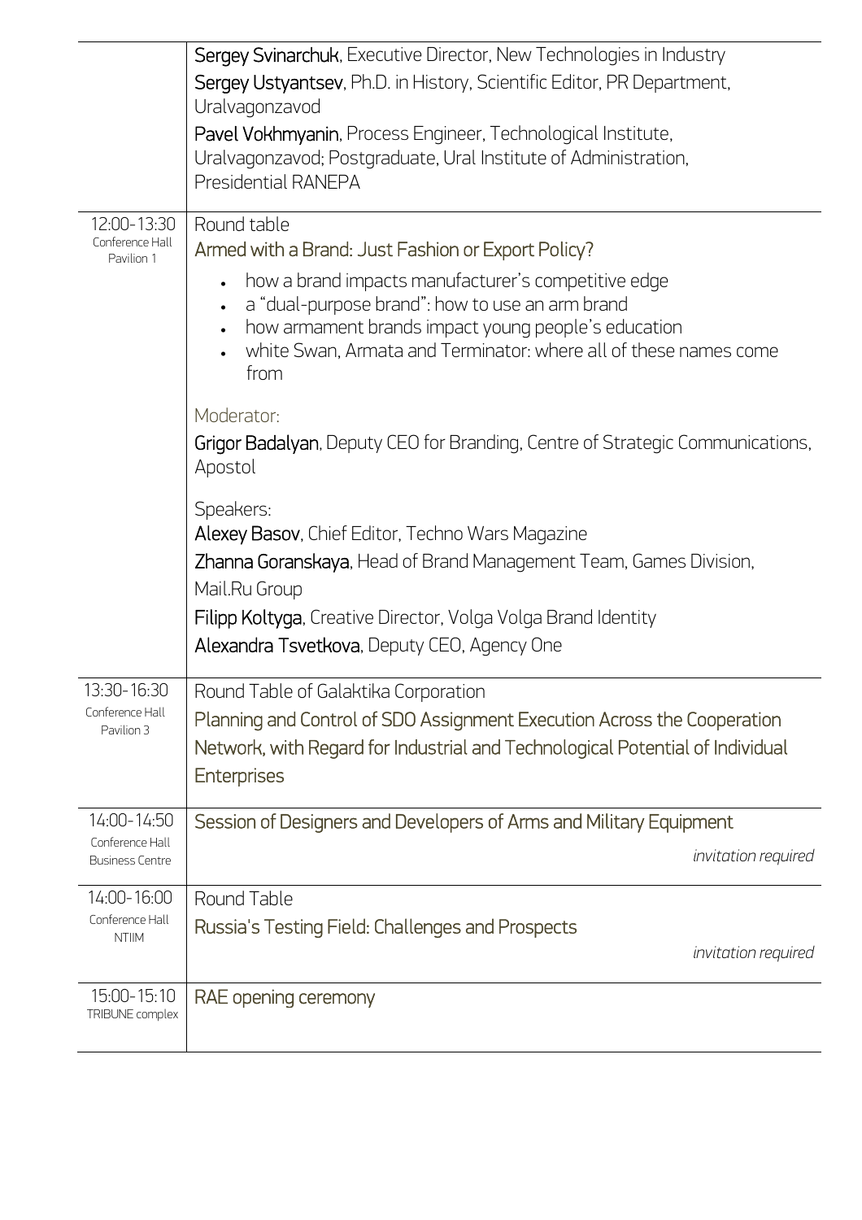| Sergey Svinarchuk, Executive Director, New Technologies in Industry                                             |
|-----------------------------------------------------------------------------------------------------------------|
| Sergey Ustyantsev, Ph.D. in History, Scientific Editor, PR Department,<br>Uralvagonzavod                        |
| Pavel Vokhmyanin, Process Engineer, Technological Institute,                                                    |
| Uralvagonzavod; Postgraduate, Ural Institute of Administration,                                                 |
| Presidential RANEPA                                                                                             |
| Round table<br>Armed with a Brand: Just Fashion or Export Policy?                                               |
| how a brand impacts manufacturer's competitive edge                                                             |
| a "dual-purpose brand": how to use an arm brand<br>how armament brands impact young people's education          |
| white Swan, Armata and Terminator: where all of these names come<br>from                                        |
| Moderator:                                                                                                      |
| Grigor Badalyan, Deputy CEO for Branding, Centre of Strategic Communications,<br>Apostol                        |
| Speakers:                                                                                                       |
| Alexey Basov, Chief Editor, Techno Wars Magazine                                                                |
| Zhanna Goranskaya, Head of Brand Management Team, Games Division,<br>Mail.Ru Group                              |
| Filipp Koltyga, Creative Director, Volga Volga Brand Identity                                                   |
| Alexandra Tsvetkova, Deputy CEO, Agency One                                                                     |
|                                                                                                                 |
| Round Table of Galaktika Corporation<br>Planning and Control of SDO Assignment Execution Across the Cooperation |
| Network, with Regard for Industrial and Technological Potential of Individual                                   |
| <b>Enterprises</b>                                                                                              |
|                                                                                                                 |
| Session of Designers and Developers of Arms and Military Equipment                                              |
| <i>invitation</i> required                                                                                      |
| Round Table                                                                                                     |
| Russia's Testing Field: Challenges and Prospects                                                                |
| invitation required                                                                                             |
| RAE opening ceremony                                                                                            |
|                                                                                                                 |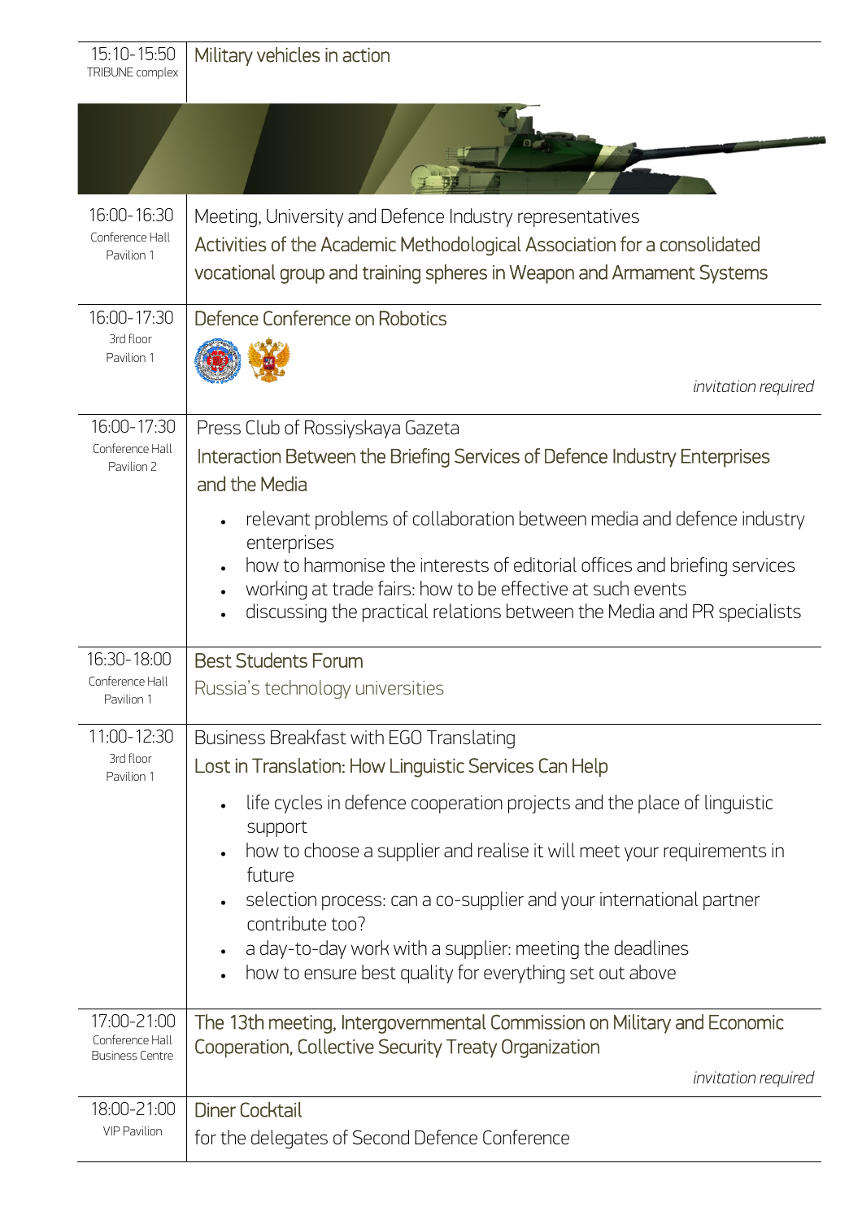| 15:10-15:50<br>TRIBUNE complex                    | Military vehicles in action                                                                                                                                                                                                                                                                                |
|---------------------------------------------------|------------------------------------------------------------------------------------------------------------------------------------------------------------------------------------------------------------------------------------------------------------------------------------------------------------|
|                                                   |                                                                                                                                                                                                                                                                                                            |
| 16:00-16:30<br>Conference Hall<br>Pavilion 1      | Meeting, University and Defence Industry representatives<br>Activities of the Academic Methodological Association for a consolidated<br>vocational group and training spheres in Weapon and Armament Systems                                                                                               |
| 16:00-17:30<br>3rd floor<br>Pavilion 1            | Defence Conference on Robotics<br><i>invitation required</i>                                                                                                                                                                                                                                               |
| 16:00-17:30<br>Conference Hall<br>Pavilion 2      | Press Club of Rossiyskaya Gazeta<br>Interaction Between the Briefing Services of Defence Industry Enterprises<br>and the Media                                                                                                                                                                             |
|                                                   | relevant problems of collaboration between media and defence industry<br>enterprises<br>how to harmonise the interests of editorial offices and briefing services<br>working at trade fairs: how to be effective at such events<br>discussing the practical relations between the Media and PR specialists |
| 16:30-18:00<br>Conference Hall<br>Pavilion 1      | <b>Best Students Forum</b><br>Russia's technology universities                                                                                                                                                                                                                                             |
| 11:00-12:30                                       | Business Breakfast with EGO Translating                                                                                                                                                                                                                                                                    |
| 3rd floor<br>Pavilion 1                           | Lost in Translation: How Linguistic Services Can Help                                                                                                                                                                                                                                                      |
|                                                   | life cycles in defence cooperation projects and the place of linguistic<br>$\bullet$<br>support                                                                                                                                                                                                            |
|                                                   | how to choose a supplier and realise it will meet your requirements in<br>future                                                                                                                                                                                                                           |
|                                                   | selection process: can a co-supplier and your international partner<br>contribute too?                                                                                                                                                                                                                     |
|                                                   | a day-to-day work with a supplier: meeting the deadlines                                                                                                                                                                                                                                                   |
|                                                   | how to ensure best quality for everything set out above                                                                                                                                                                                                                                                    |
| 17:00-21:00<br>Conference Hall<br>Business Centre | The 13th meeting, Intergovernmental Commission on Military and Economic<br>Cooperation, Collective Security Treaty Organization                                                                                                                                                                            |
|                                                   | <i>invitation</i> required                                                                                                                                                                                                                                                                                 |
| 18:00-21:00                                       | <b>Diner Cocktail</b>                                                                                                                                                                                                                                                                                      |
| <b>VIP Pavilion</b>                               | for the delegates of Second Defence Conference                                                                                                                                                                                                                                                             |